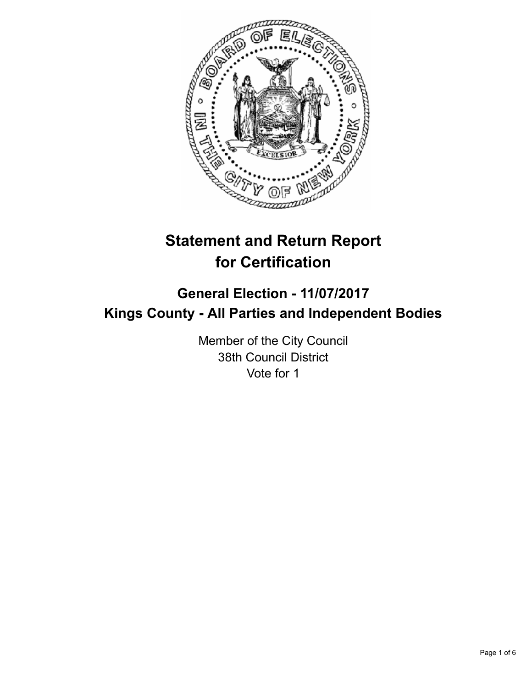

# **Statement and Return Report for Certification**

## **General Election - 11/07/2017 Kings County - All Parties and Independent Bodies**

Member of the City Council 38th Council District Vote for 1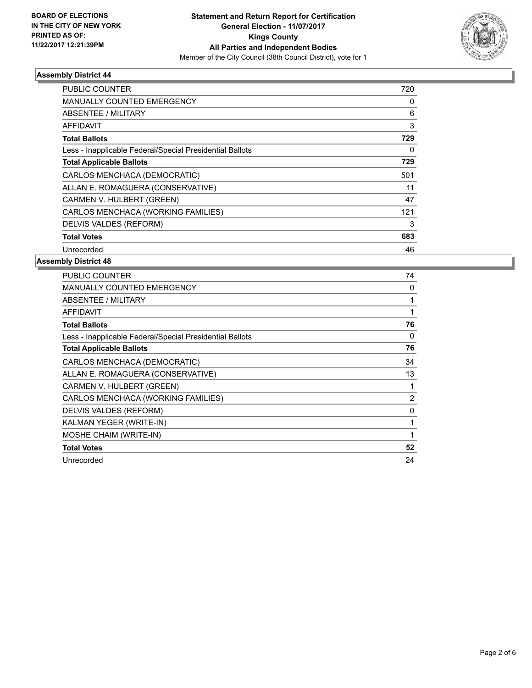

#### **Assembly District 44**

| <b>PUBLIC COUNTER</b>                                    | 720 |
|----------------------------------------------------------|-----|
| <b>MANUALLY COUNTED EMERGENCY</b>                        | 0   |
| <b>ABSENTEE / MILITARY</b>                               | 6   |
| AFFIDAVIT                                                | 3   |
| <b>Total Ballots</b>                                     | 729 |
| Less - Inapplicable Federal/Special Presidential Ballots | 0   |
| <b>Total Applicable Ballots</b>                          | 729 |
| CARLOS MENCHACA (DEMOCRATIC)                             | 501 |
| ALLAN E. ROMAGUERA (CONSERVATIVE)                        | 11  |
| CARMEN V. HULBERT (GREEN)                                | 47  |
| CARLOS MENCHACA (WORKING FAMILIES)                       | 121 |
| DELVIS VALDES (REFORM)                                   | 3   |
| <b>Total Votes</b>                                       | 683 |
| Unrecorded                                               | 46  |

#### **Assembly District 48**

| PUBLIC COUNTER                                           | 74             |
|----------------------------------------------------------|----------------|
| <b>MANUALLY COUNTED EMERGENCY</b>                        | 0              |
| <b>ABSENTEE / MILITARY</b>                               |                |
| AFFIDAVIT                                                | 1              |
| <b>Total Ballots</b>                                     | 76             |
| Less - Inapplicable Federal/Special Presidential Ballots | 0              |
| <b>Total Applicable Ballots</b>                          | 76             |
| CARLOS MENCHACA (DEMOCRATIC)                             | 34             |
| ALLAN E. ROMAGUERA (CONSERVATIVE)                        | 13             |
| CARMEN V. HULBERT (GREEN)                                |                |
| CARLOS MENCHACA (WORKING FAMILIES)                       | $\overline{2}$ |
| DELVIS VALDES (REFORM)                                   | 0              |
| KALMAN YEGER (WRITE-IN)                                  |                |
| MOSHE CHAIM (WRITE-IN)                                   | 1              |
| <b>Total Votes</b>                                       | 52             |
| Unrecorded                                               | 24             |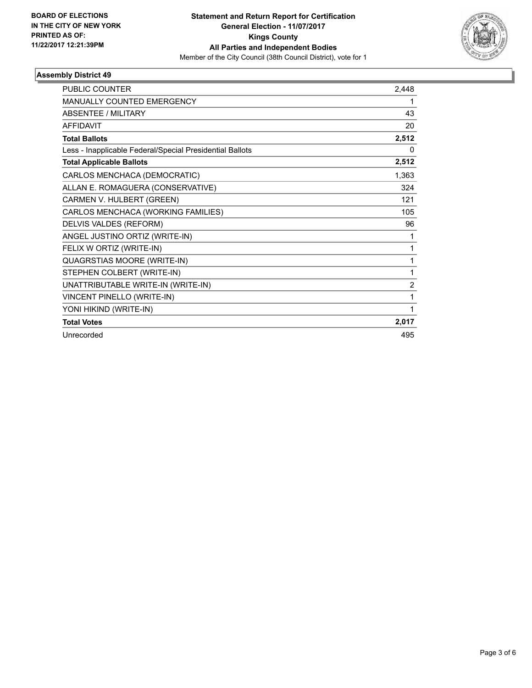

#### **Assembly District 49**

| <b>PUBLIC COUNTER</b>                                    | 2,448          |
|----------------------------------------------------------|----------------|
| MANUALLY COUNTED EMERGENCY                               | 1              |
| <b>ABSENTEE / MILITARY</b>                               | 43             |
| <b>AFFIDAVIT</b>                                         | 20             |
| <b>Total Ballots</b>                                     | 2,512          |
| Less - Inapplicable Federal/Special Presidential Ballots | 0              |
| <b>Total Applicable Ballots</b>                          | 2,512          |
| CARLOS MENCHACA (DEMOCRATIC)                             | 1,363          |
| ALLAN E. ROMAGUERA (CONSERVATIVE)                        | 324            |
| CARMEN V. HULBERT (GREEN)                                | 121            |
| CARLOS MENCHACA (WORKING FAMILIES)                       | 105            |
| DELVIS VALDES (REFORM)                                   | 96             |
| ANGEL JUSTINO ORTIZ (WRITE-IN)                           | 1              |
| FELIX W ORTIZ (WRITE-IN)                                 | 1              |
| QUAGRSTIAS MOORE (WRITE-IN)                              | 1              |
| STEPHEN COLBERT (WRITE-IN)                               | 1              |
| UNATTRIBUTABLE WRITE-IN (WRITE-IN)                       | $\overline{2}$ |
| <b>VINCENT PINELLO (WRITE-IN)</b>                        | 1              |
| YONI HIKIND (WRITE-IN)                                   | 1              |
| <b>Total Votes</b>                                       | 2,017          |
| Unrecorded                                               | 495            |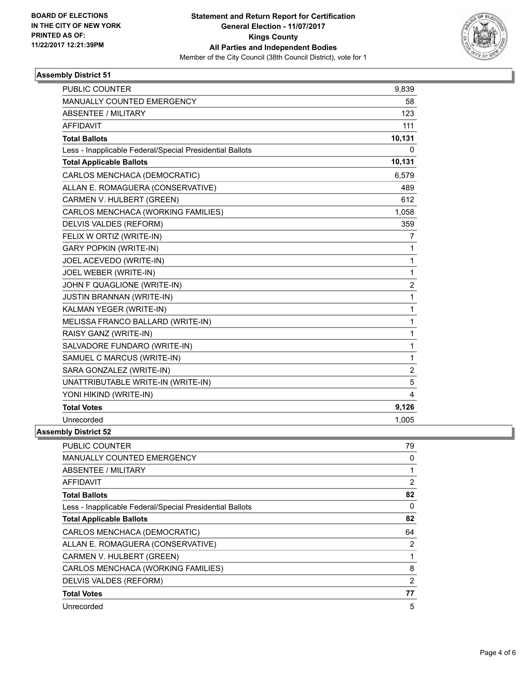

#### **Assembly District 51**

| <b>PUBLIC COUNTER</b>                                    | 9,839          |
|----------------------------------------------------------|----------------|
| <b>MANUALLY COUNTED EMERGENCY</b>                        | 58             |
| <b>ABSENTEE / MILITARY</b>                               | 123            |
| <b>AFFIDAVIT</b>                                         | 111            |
| <b>Total Ballots</b>                                     | 10,131         |
| Less - Inapplicable Federal/Special Presidential Ballots | 0              |
| <b>Total Applicable Ballots</b>                          | 10,131         |
| CARLOS MENCHACA (DEMOCRATIC)                             | 6,579          |
| ALLAN E. ROMAGUERA (CONSERVATIVE)                        | 489            |
| CARMEN V. HULBERT (GREEN)                                | 612            |
| CARLOS MENCHACA (WORKING FAMILIES)                       | 1,058          |
| DELVIS VALDES (REFORM)                                   | 359            |
| FELIX W ORTIZ (WRITE-IN)                                 | 7              |
| <b>GARY POPKIN (WRITE-IN)</b>                            | $\mathbf{1}$   |
| JOEL ACEVEDO (WRITE-IN)                                  | 1              |
| JOEL WEBER (WRITE-IN)                                    | 1              |
| JOHN F QUAGLIONE (WRITE-IN)                              | $\overline{2}$ |
| <b>JUSTIN BRANNAN (WRITE-IN)</b>                         | $\mathbf 1$    |
| KALMAN YEGER (WRITE-IN)                                  | 1              |
| MELISSA FRANCO BALLARD (WRITE-IN)                        | $\mathbf{1}$   |
| RAISY GANZ (WRITE-IN)                                    | $\mathbf 1$    |
| SALVADORE FUNDARO (WRITE-IN)                             | 1              |
| SAMUEL C MARCUS (WRITE-IN)                               | $\mathbf{1}$   |
| SARA GONZALEZ (WRITE-IN)                                 | $\overline{c}$ |
| UNATTRIBUTABLE WRITE-IN (WRITE-IN)                       | 5              |
| YONI HIKIND (WRITE-IN)                                   | 4              |
| <b>Total Votes</b>                                       | 9,126          |
| Unrecorded                                               | 1,005          |
| nhlv Dietrict 52                                         |                |

### **Assembly District 52**

| <b>PUBLIC COUNTER</b>                                    | 79 |
|----------------------------------------------------------|----|
| <b>MANUALLY COUNTED EMERGENCY</b>                        | 0  |
| <b>ABSENTEE / MILITARY</b>                               |    |
| AFFIDAVIT                                                | 2  |
| <b>Total Ballots</b>                                     | 82 |
| Less - Inapplicable Federal/Special Presidential Ballots | 0  |
| <b>Total Applicable Ballots</b>                          | 82 |
| CARLOS MENCHACA (DEMOCRATIC)                             | 64 |
| ALLAN E. ROMAGUERA (CONSERVATIVE)                        | 2  |
| CARMEN V. HULBERT (GREEN)                                | 1  |
| CARLOS MENCHACA (WORKING FAMILIES)                       | 8  |
| DELVIS VALDES (REFORM)                                   | 2  |
| <b>Total Votes</b>                                       | 77 |
| Unrecorded                                               | 5  |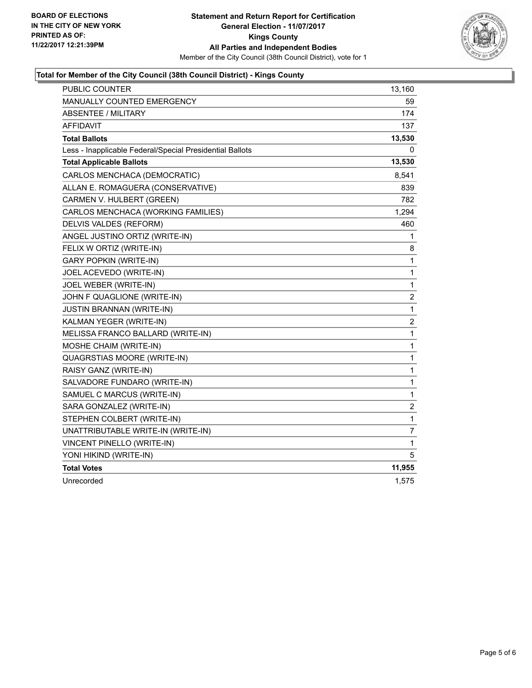

#### **Total for Member of the City Council (38th Council District) - Kings County**

| PUBLIC COUNTER                                           | 13,160                  |
|----------------------------------------------------------|-------------------------|
| MANUALLY COUNTED EMERGENCY                               | 59                      |
| <b>ABSENTEE / MILITARY</b>                               | 174                     |
| <b>AFFIDAVIT</b>                                         | 137                     |
| <b>Total Ballots</b>                                     | 13,530                  |
| Less - Inapplicable Federal/Special Presidential Ballots | 0                       |
| <b>Total Applicable Ballots</b>                          | 13,530                  |
| CARLOS MENCHACA (DEMOCRATIC)                             | 8,541                   |
| ALLAN E. ROMAGUERA (CONSERVATIVE)                        | 839                     |
| CARMEN V. HULBERT (GREEN)                                | 782                     |
| CARLOS MENCHACA (WORKING FAMILIES)                       | 1,294                   |
| DELVIS VALDES (REFORM)                                   | 460                     |
| ANGEL JUSTINO ORTIZ (WRITE-IN)                           | 1                       |
| FELIX W ORTIZ (WRITE-IN)                                 | 8                       |
| <b>GARY POPKIN (WRITE-IN)</b>                            | 1                       |
| JOEL ACEVEDO (WRITE-IN)                                  | 1                       |
| JOEL WEBER (WRITE-IN)                                    | $\mathbf{1}$            |
| JOHN F QUAGLIONE (WRITE-IN)                              | $\overline{\mathbf{c}}$ |
| <b>JUSTIN BRANNAN (WRITE-IN)</b>                         | $\mathbf{1}$            |
| KALMAN YEGER (WRITE-IN)                                  | 2                       |
| MELISSA FRANCO BALLARD (WRITE-IN)                        | 1                       |
| MOSHE CHAIM (WRITE-IN)                                   | 1                       |
| QUAGRSTIAS MOORE (WRITE-IN)                              | 1                       |
| RAISY GANZ (WRITE-IN)                                    | 1                       |
| SALVADORE FUNDARO (WRITE-IN)                             | $\mathbf 1$             |
| SAMUEL C MARCUS (WRITE-IN)                               | 1                       |
| SARA GONZALEZ (WRITE-IN)                                 | 2                       |
| STEPHEN COLBERT (WRITE-IN)                               | $\mathbf 1$             |
| UNATTRIBUTABLE WRITE-IN (WRITE-IN)                       | 7                       |
| <b>VINCENT PINELLO (WRITE-IN)</b>                        | 1                       |
| YONI HIKIND (WRITE-IN)                                   | 5                       |
| <b>Total Votes</b>                                       | 11,955                  |
| Unrecorded                                               | 1,575                   |